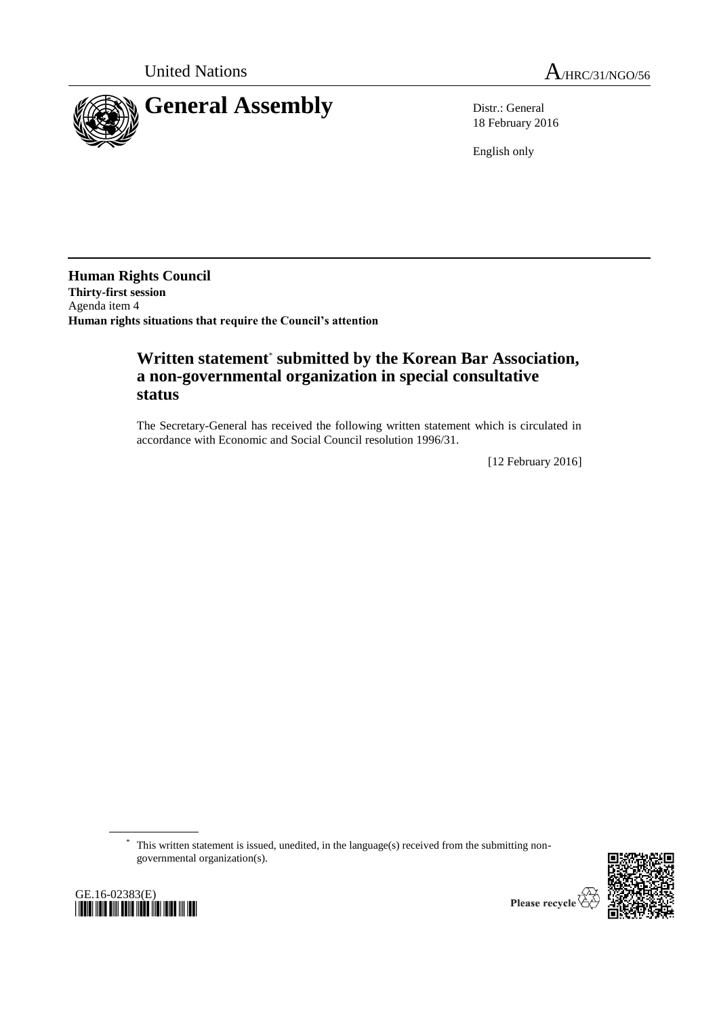

18 February 2016

English only

**Human Rights Council Thirty-first session** Agenda item 4 **Human rights situations that require the Council's attention**

## **Written statement**\* **submitted by the Korean Bar Association, a non-governmental organization in special consultative status**

The Secretary-General has received the following written statement which is circulated in accordance with Economic and Social Council resolution 1996/31.

[12 February 2016]

\* This written statement is issued, unedited, in the language(s) received from the submitting nongovernmental organization(s).





Please recycle  $\overline{\mathbf{r}}$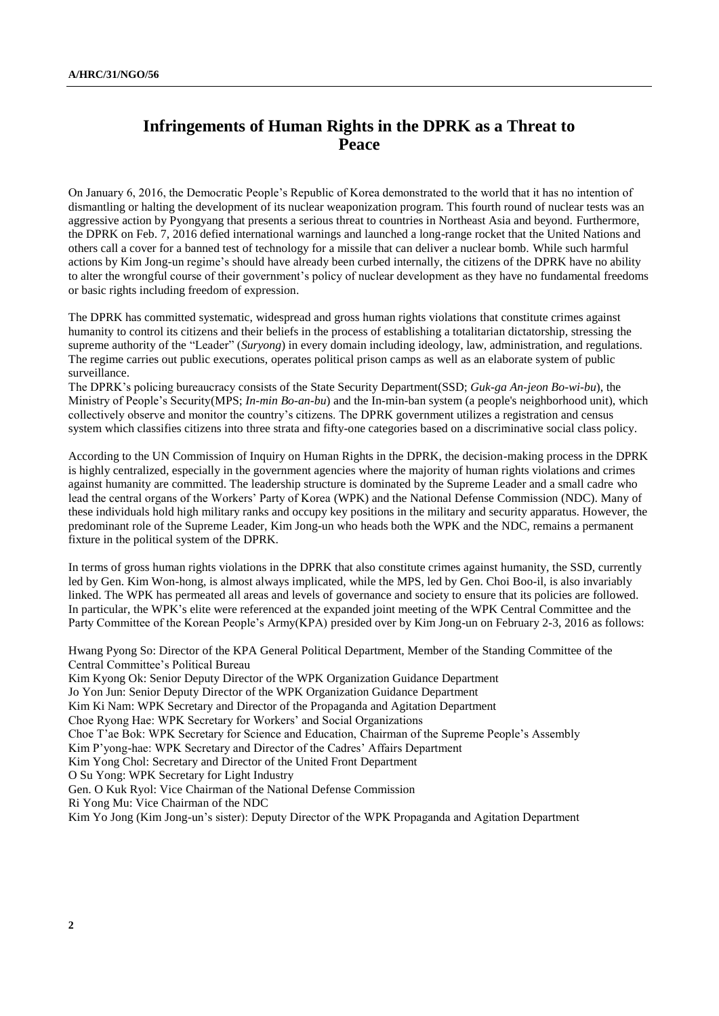## **Infringements of Human Rights in the DPRK as a Threat to Peace**

On January 6, 2016, the Democratic People's Republic of Korea demonstrated to the world that it has no intention of dismantling or halting the development of its nuclear weaponization program. This fourth round of nuclear tests was an aggressive action by Pyongyang that presents a serious threat to countries in Northeast Asia and beyond. Furthermore, the DPRK on Feb. 7, 2016 defied international warnings and launched a long-range rocket that the United Nations and others call a cover for a banned test of technology for a missile that can deliver a nuclear bomb. While such harmful actions by Kim Jong-un regime's should have already been curbed internally, the citizens of the DPRK have no ability to alter the wrongful course of their government's policy of nuclear development as they have no fundamental freedoms or basic rights including freedom of expression.

The DPRK has committed systematic, widespread and gross human rights violations that constitute crimes against humanity to control its citizens and their beliefs in the process of establishing a totalitarian dictatorship, stressing the supreme authority of the "Leader" (*Suryong*) in every domain including ideology, law, administration, and regulations. The regime carries out public executions, operates political prison camps as well as an elaborate system of public surveillance.

The DPRK's policing bureaucracy consists of the State Security Department(SSD; *Guk-ga An-jeon Bo-wi-bu*), the Ministry of People's Security(MPS; *In-min Bo-an-bu*) and the In-min-ban system (a people's neighborhood unit), which collectively observe and monitor the country's citizens. The DPRK government utilizes a registration and census system which classifies citizens into three strata and fifty-one categories based on a discriminative social class policy.

According to the UN Commission of Inquiry on Human Rights in the DPRK, the decision-making process in the DPRK is highly centralized, especially in the government agencies where the majority of human rights violations and crimes against humanity are committed. The leadership structure is dominated by the Supreme Leader and a small cadre who lead the central organs of the Workers' Party of Korea (WPK) and the National Defense Commission (NDC). Many of these individuals hold high military ranks and occupy key positions in the military and security apparatus. However, the predominant role of the Supreme Leader, Kim Jong-un who heads both the WPK and the NDC, remains a permanent fixture in the political system of the DPRK.

In terms of gross human rights violations in the DPRK that also constitute crimes against humanity, the SSD, currently led by Gen. Kim Won-hong, is almost always implicated, while the MPS, led by Gen. Choi Boo-il, is also invariably linked. The WPK has permeated all areas and levels of governance and society to ensure that its policies are followed. In particular, the WPK's elite were referenced at the expanded joint meeting of the WPK Central Committee and the Party Committee of the Korean People's Army(KPA) presided over by Kim Jong-un on February 2-3, 2016 as follows:

Hwang Pyong So: Director of the KPA General Political Department, Member of the Standing Committee of the Central Committee's Political Bureau

Kim Kyong Ok: Senior Deputy Director of the WPK Organization Guidance Department Jo Yon Jun: Senior Deputy Director of the WPK Organization Guidance Department Kim Ki Nam: WPK Secretary and Director of the Propaganda and Agitation Department Choe Ryong Hae: WPK Secretary for Workers' and Social Organizations Choe T'ae Bok: WPK Secretary for Science and Education, Chairman of the Supreme People's Assembly Kim P'yong-hae: WPK Secretary and Director of the Cadres' Affairs Department Kim Yong Chol: Secretary and Director of the United Front Department O Su Yong: WPK Secretary for Light Industry Gen. O Kuk Ryol: Vice Chairman of the National Defense Commission Ri Yong Mu: Vice Chairman of the NDC Kim Yo Jong (Kim Jong-un's sister): Deputy Director of the WPK Propaganda and Agitation Department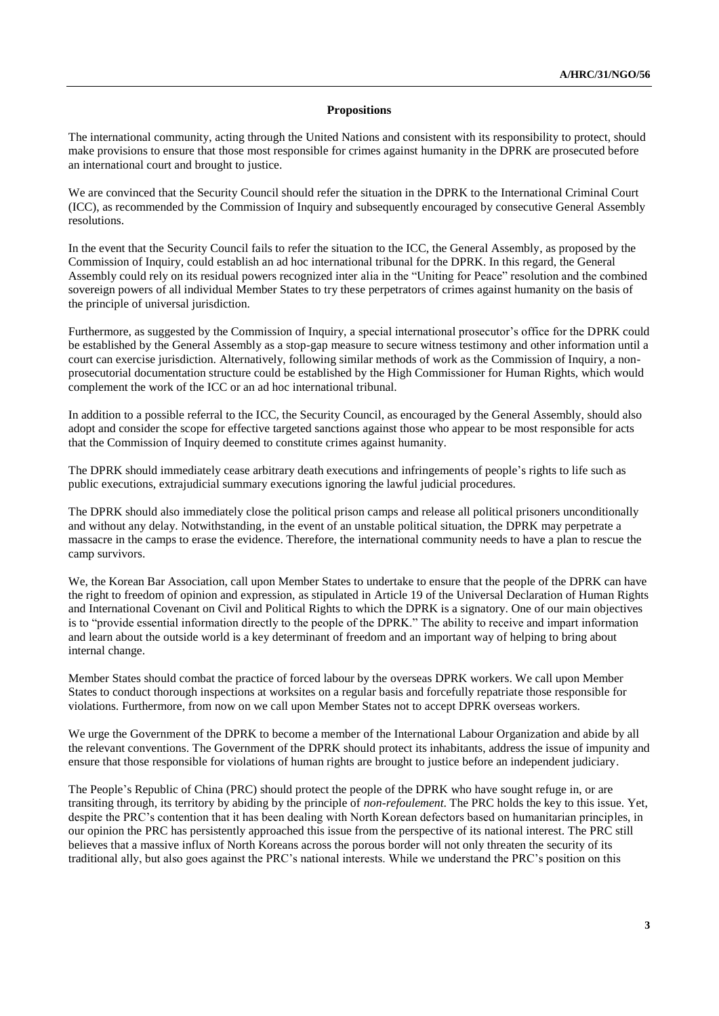## **Propositions**

The international community, acting through the United Nations and consistent with its responsibility to protect, should make provisions to ensure that those most responsible for crimes against humanity in the DPRK are prosecuted before an international court and brought to justice.

We are convinced that the Security Council should refer the situation in the DPRK to the International Criminal Court (ICC), as recommended by the Commission of Inquiry and subsequently encouraged by consecutive General Assembly resolutions.

In the event that the Security Council fails to refer the situation to the ICC, the General Assembly, as proposed by the Commission of Inquiry, could establish an ad hoc international tribunal for the DPRK. In this regard, the General Assembly could rely on its residual powers recognized inter alia in the "Uniting for Peace" resolution and the combined sovereign powers of all individual Member States to try these perpetrators of crimes against humanity on the basis of the principle of universal jurisdiction.

Furthermore, as suggested by the Commission of Inquiry, a special international prosecutor's office for the DPRK could be established by the General Assembly as a stop-gap measure to secure witness testimony and other information until a court can exercise jurisdiction. Alternatively, following similar methods of work as the Commission of Inquiry, a nonprosecutorial documentation structure could be established by the High Commissioner for Human Rights, which would complement the work of the ICC or an ad hoc international tribunal.

In addition to a possible referral to the ICC, the Security Council, as encouraged by the General Assembly, should also adopt and consider the scope for effective targeted sanctions against those who appear to be most responsible for acts that the Commission of Inquiry deemed to constitute crimes against humanity.

The DPRK should immediately cease arbitrary death executions and infringements of people's rights to life such as public executions, extrajudicial summary executions ignoring the lawful judicial procedures.

The DPRK should also immediately close the political prison camps and release all political prisoners unconditionally and without any delay. Notwithstanding, in the event of an unstable political situation, the DPRK may perpetrate a massacre in the camps to erase the evidence. Therefore, the international community needs to have a plan to rescue the camp survivors.

We, the Korean Bar Association, call upon Member States to undertake to ensure that the people of the DPRK can have the right to freedom of opinion and expression, as stipulated in Article 19 of the Universal Declaration of Human Rights and International Covenant on Civil and Political Rights to which the DPRK is a signatory. One of our main objectives is to "provide essential information directly to the people of the DPRK." The ability to receive and impart information and learn about the outside world is a key determinant of freedom and an important way of helping to bring about internal change.

Member States should combat the practice of forced labour by the overseas DPRK workers. We call upon Member States to conduct thorough inspections at worksites on a regular basis and forcefully repatriate those responsible for violations. Furthermore, from now on we call upon Member States not to accept DPRK overseas workers.

We urge the Government of the DPRK to become a member of the International Labour Organization and abide by all the relevant conventions. The Government of the DPRK should protect its inhabitants, address the issue of impunity and ensure that those responsible for violations of human rights are brought to justice before an independent judiciary.

The People's Republic of China (PRC) should protect the people of the DPRK who have sought refuge in, or are transiting through, its territory by abiding by the principle of *non-refoulement*. The PRC holds the key to this issue. Yet, despite the PRC's contention that it has been dealing with North Korean defectors based on humanitarian principles, in our opinion the PRC has persistently approached this issue from the perspective of its national interest. The PRC still believes that a massive influx of North Koreans across the porous border will not only threaten the security of its traditional ally, but also goes against the PRC's national interests. While we understand the PRC's position on this